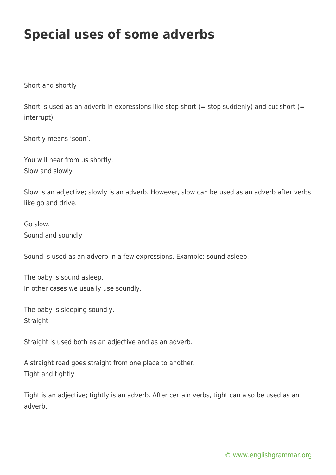## **Special uses of some adverbs**

Short and shortly

Short is used as an adverb in expressions like stop short (= stop suddenly) and cut short (= interrupt)

Shortly means 'soon'.

You will hear from us shortly. Slow and slowly

Slow is an adjective; slowly is an adverb. However, slow can be used as an adverb after verbs like go and drive.

Go slow. Sound and soundly

Sound is used as an adverb in a few expressions. Example: sound asleep.

The baby is sound asleep. In other cases we usually use soundly.

The baby is sleeping soundly. **Straight** 

Straight is used both as an adjective and as an adverb.

A straight road goes straight from one place to another. Tight and tightly

Tight is an adjective; tightly is an adverb. After certain verbs, tight can also be used as an adverb.